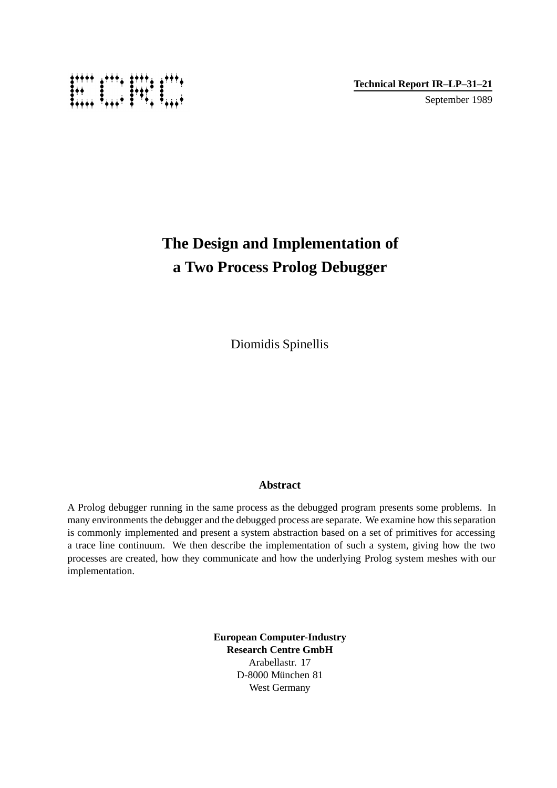

**Technical Report IR–LP–31–21** September 1989

### **The Design and Implementation of a Two Process Prolog Debugger**

Diomidis Spinellis

#### **Abstract**

A Prolog debugger running in the same process as the debugged program presents some problems. In many environments the debugger and the debugged process are separate. We examine how this separation is commonly implemented and present a system abstraction based on a set of primitives for accessing a trace line continuum. We then describe the implementation of such a system, giving how the two processes are created, how they communicate and how the underlying Prolog system meshes with our implementation.

> **European Computer-Industry Research Centre GmbH** Arabellastr. 17 D-8000 München 81 West Germany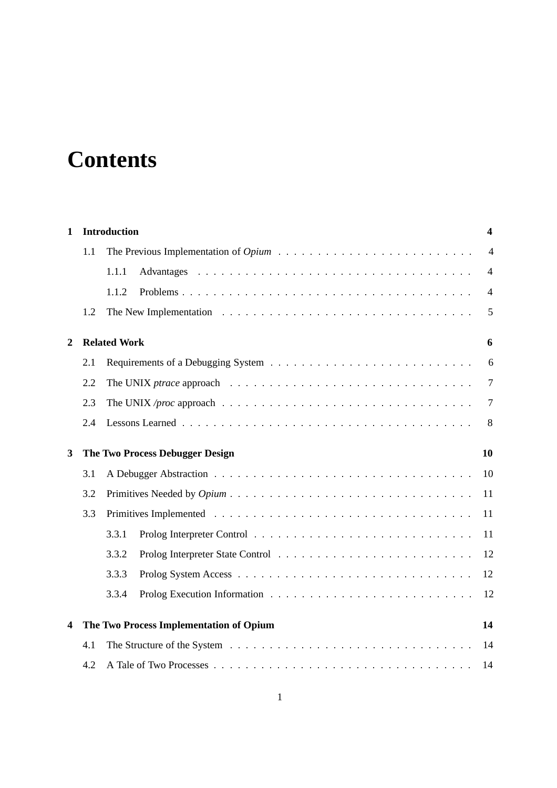## **Contents**

| $\mathbf{1}$ | <b>Introduction</b>                     |                                                                                                                                                                                                                                         |                 |  |  |  |  |
|--------------|-----------------------------------------|-----------------------------------------------------------------------------------------------------------------------------------------------------------------------------------------------------------------------------------------|-----------------|--|--|--|--|
|              | 1.1                                     |                                                                                                                                                                                                                                         | $\overline{4}$  |  |  |  |  |
|              |                                         | Advantages and containing the containing of the containing of the containing of the containing of the containing of the containing of the containing of the containing of the containing of the containing of the containing o<br>1.1.1 | $\overline{4}$  |  |  |  |  |
|              |                                         | 1.1.2                                                                                                                                                                                                                                   | $\overline{4}$  |  |  |  |  |
|              | 1.2                                     | The New Implementation and a substitution of the New Implementation and a substantial contract of the New Implementation                                                                                                                | 5               |  |  |  |  |
| 2            |                                         | <b>Related Work</b>                                                                                                                                                                                                                     |                 |  |  |  |  |
|              | 2.1                                     | Requirements of a Debugging System entertainment of a Debugging System entertainment of the Debugging System                                                                                                                            | 6               |  |  |  |  |
|              | 2.2                                     | The UNIX ptrace approach and a substitution of the UNIX ptrace approach and a substitution of the UNIX ptrace approach                                                                                                                  | $\overline{7}$  |  |  |  |  |
|              | 2.3                                     |                                                                                                                                                                                                                                         | $7\phantom{.0}$ |  |  |  |  |
|              | 2.4                                     | Lessons Learned <b>Learned Lesson</b> is a contract the contract the contract of the contract of the contract of the contract of the contract of the contract of the contract of the contract of the contract of the contract of        | 8               |  |  |  |  |
| 3            |                                         | The Two Process Debugger Design                                                                                                                                                                                                         |                 |  |  |  |  |
|              | 3.1                                     | A Debugger Abstraction                                                                                                                                                                                                                  | 10              |  |  |  |  |
|              | 3.2                                     | Primitives Needed by <i>Opium</i><br>11                                                                                                                                                                                                 |                 |  |  |  |  |
|              | 3.3                                     | Primitives Implemented and a subsequently and a subsequently and the set of the set of the set of the set of the set of the set of the set of the set of the set of the set of the set of the set of the set of the set of the          |                 |  |  |  |  |
|              |                                         | Prolog Interpreter Control and a substitution of the control of the control of the control of the control of the control of the control of the control of the control of the control of the control of the control of the cont<br>3.3.1 | 11              |  |  |  |  |
|              |                                         | Prolog Interpreter State Control Prolog in the control of the control of the control of the control of the control of the control of the control of the control of the control of the control of the control of the control of<br>3.3.2 | 12              |  |  |  |  |
|              |                                         | 3.3.3                                                                                                                                                                                                                                   | 12              |  |  |  |  |
|              |                                         | Prolog Execution Information<br>3.3.4                                                                                                                                                                                                   | 12              |  |  |  |  |
| 4            | The Two Process Implementation of Opium |                                                                                                                                                                                                                                         |                 |  |  |  |  |
|              | 4.1                                     |                                                                                                                                                                                                                                         | 14              |  |  |  |  |
|              | 4.2                                     |                                                                                                                                                                                                                                         | 14              |  |  |  |  |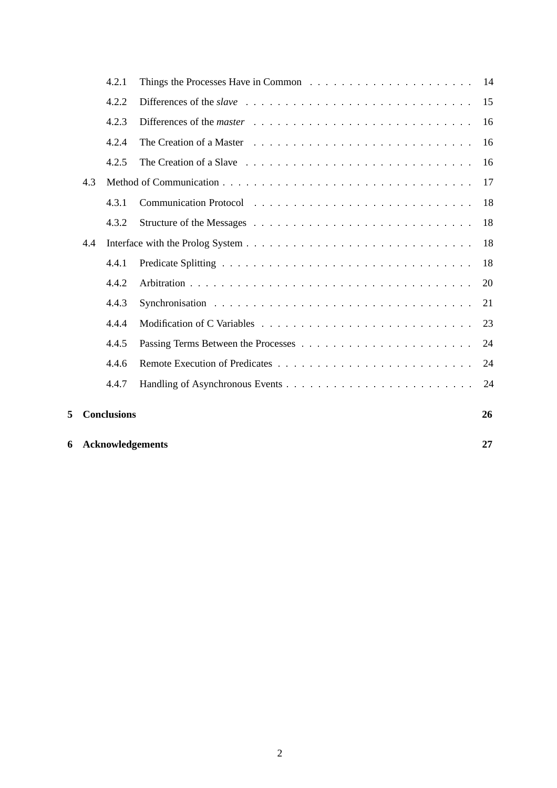| 6 |     |                    | <b>Acknowledgements</b>                                                                                                                                                                                                              | 27 |
|---|-----|--------------------|--------------------------------------------------------------------------------------------------------------------------------------------------------------------------------------------------------------------------------------|----|
| 5 |     | <b>Conclusions</b> |                                                                                                                                                                                                                                      | 26 |
|   |     | 4.4.7              |                                                                                                                                                                                                                                      | 24 |
|   |     | 4.4.6              | Remote Execution of Predicates and a substitution of the Predicates and a substitution of the Predicates and a substitution of Predicates and a substitution of Predicates and a substitution of Predicates and American subst       | 24 |
|   |     | 4.4.5              | Passing Terms Between the Processes                                                                                                                                                                                                  | 24 |
|   |     | 4.4.4              | Modification of C Variables                                                                                                                                                                                                          | 23 |
|   |     | 4.4.3              | Synchronisation entrepreneur and the contract of the contract of the contract of the contract of the contract of the contract of the contract of the contract of the contract of the contract of the contract of the contract        | 21 |
|   |     | 4.4.2              |                                                                                                                                                                                                                                      | 20 |
|   |     | 4.4.1              | Predicate Splitting Theorem 2014 Contract the Contract of the Contract of the Contract of the Contract of the Contract of the Contract of the Contract of the Contract of the Contract of the Contract of the Contract of the        | 18 |
|   | 4.4 |                    |                                                                                                                                                                                                                                      | 18 |
|   |     | 4.3.2              | Structure of the Messages entertainment of the Messages                                                                                                                                                                              | 18 |
|   |     | 4.3.1              | Communication Protocol entering the contract of the contract of the contract of the contract of the contract of the contract of the contract of the contract of the contract of the contract of the contract of the contract o       | 18 |
|   | 4.3 |                    | Method of Communication.                                                                                                                                                                                                             | 17 |
|   |     | 4.2.5              | The Creation of a Slave                                                                                                                                                                                                              | 16 |
|   |     | 4.2.4              | The Creation of a Master <b>Exercise Contract Contract Contract Contract Contract Contract Contract Contract Contract Contract Contract Contract Contract Contract Contract Contract Contract Contract Contract Contract Contrac</b> | 16 |
|   |     | 4.2.3              | Differences of the <i>master</i> entertainment of the <i>master</i> entertainment of the <i>master</i>                                                                                                                               | 16 |
|   |     | 4.2.2              | Differences of the <i>slave</i>                                                                                                                                                                                                      | 15 |
|   |     | 4.2.1              | Things the Processes Have in Common Things the Processes Have in Common                                                                                                                                                              | 14 |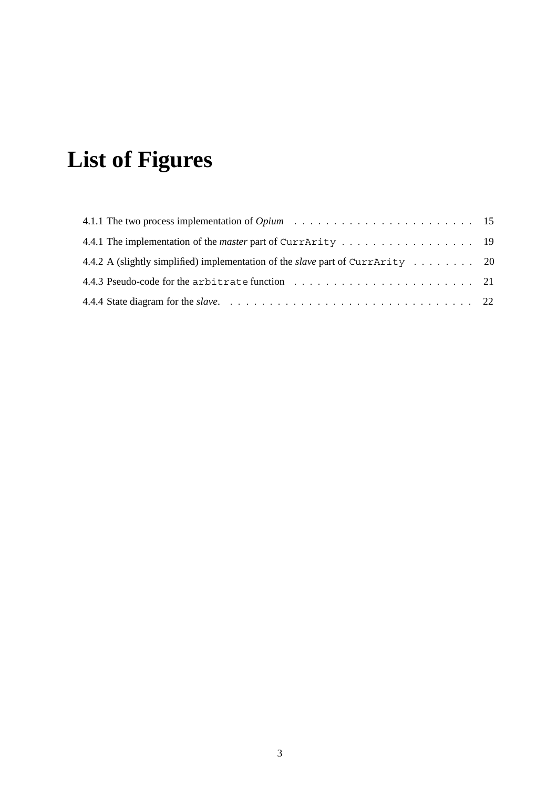# **List of Figures**

| 4.1.1 The two process implementation of <i>Opium</i> 1999 and the set of the set of the set of the set of the set of the set of the set of the set of the set of the set of the set of the set of the set of the set of the set of |  |
|------------------------------------------------------------------------------------------------------------------------------------------------------------------------------------------------------------------------------------|--|
|                                                                                                                                                                                                                                    |  |
| 4.4.2 A (slightly simplified) implementation of the <i>slave</i> part of CurrArity 20                                                                                                                                              |  |
| 4.4.3 Pseudo-code for the arbitrate function contracts in the contract of the 21                                                                                                                                                   |  |
| 4.4.4 State diagram for the <i>slave</i> .                                                                                                                                                                                         |  |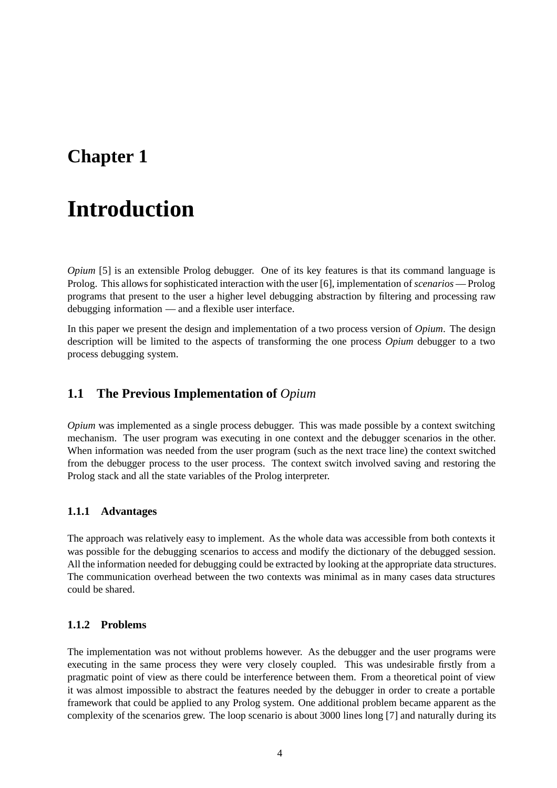## **Introduction**

*Opium* [5] is an extensible Prolog debugger. One of its key features is that its command language is Prolog. This allows for sophisticated interaction with the user [6], implementation of *scenarios* — Prolog programs that present to the user a higher level debugging abstraction by filtering and processing raw debugging information — and a flexible user interface.

In this paper we present the design and implementation of a two process version of *Opium*. The design description will be limited to the aspects of transforming the one process *Opium* debugger to a two process debugging system.

#### **1.1 The Previous Implementation of** *Opium*

*Opium* was implemented as a single process debugger. This was made possible by a context switching mechanism. The user program was executing in one context and the debugger scenarios in the other. When information was needed from the user program (such as the next trace line) the context switched from the debugger process to the user process. The context switch involved saving and restoring the Prolog stack and all the state variables of the Prolog interpreter.

#### **1.1.1 Advantages**

The approach was relatively easy to implement. As the whole data was accessible from both contexts it was possible for the debugging scenarios to access and modify the dictionary of the debugged session. All the information needed for debugging could be extracted by looking at the appropriate data structures. The communication overhead between the two contexts was minimal as in many cases data structures could be shared.

#### **1.1.2 Problems**

The implementation was not without problems however. As the debugger and the user programs were executing in the same process they were very closely coupled. This was undesirable firstly from a pragmatic point of view as there could be interference between them. From a theoretical point of view it was almost impossible to abstract the features needed by the debugger in order to create a portable framework that could be applied to any Prolog system. One additional problem became apparent as the complexity of the scenarios grew. The loop scenario is about 3000 lines long [7] and naturally during its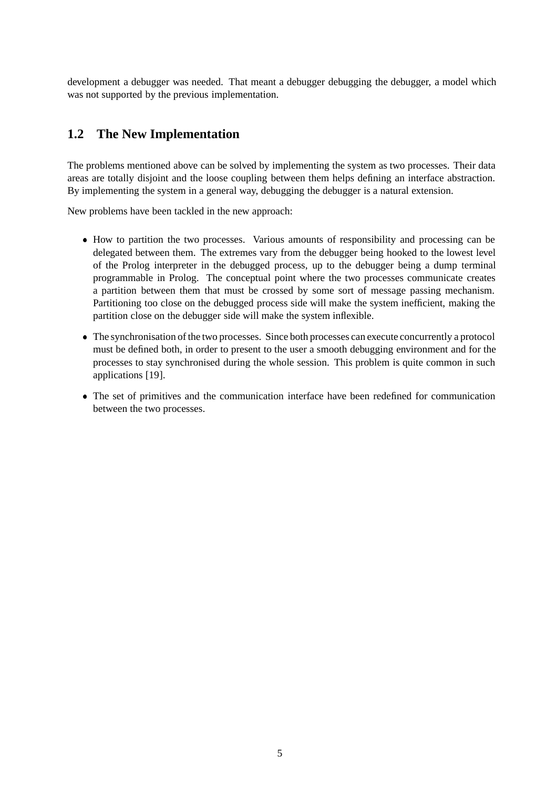development a debugger was needed. That meant a debugger debugging the debugger, a model which was not supported by the previous implementation.

#### **1.2 The New Implementation**

The problems mentioned above can be solved by implementing the system as two processes. Their data areas are totally disjoint and the loose coupling between them helps defining an interface abstraction. By implementing the system in a general way, debugging the debugger is a natural extension.

New problems have been tackled in the new approach:

- How to partition the two processes. Various amounts of responsibility and processing can be delegated between them. The extremes vary from the debugger being hooked to the lowest level of the Prolog interpreter in the debugged process, up to the debugger being a dump terminal programmable in Prolog. The conceptual point where the two processes communicate creates a partition between them that must be crossed by some sort of message passing mechanism. Partitioning too close on the debugged process side will make the system inefficient, making the partition close on the debugger side will make the system inflexible.
- The synchronisation of the two processes. Since both processes can execute concurrently a protocol must be defined both, in order to present to the user a smooth debugging environment and for the processes to stay synchronised during the whole session. This problem is quite common in such applications [19].
- The set of primitives and the communication interface have been redefined for communication between the two processes.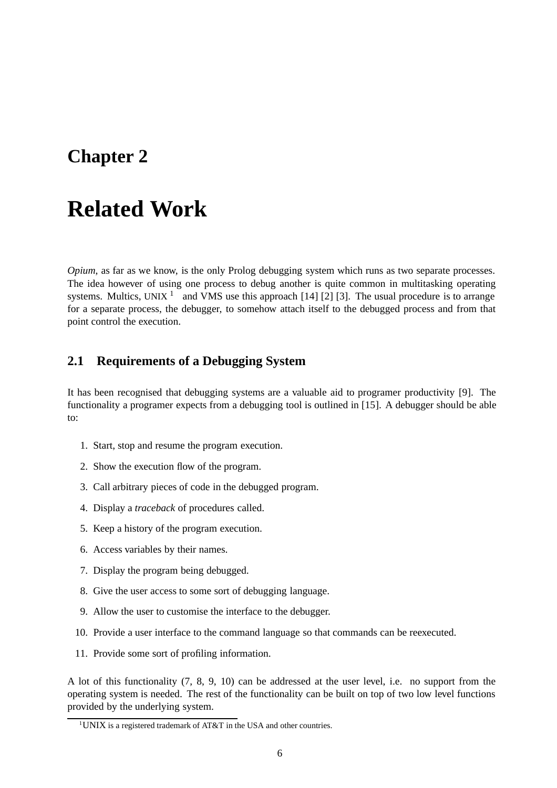## **Related Work**

*Opium*, as far as we know, is the only Prolog debugging system which runs as two separate processes. The idea however of using one process to debug another is quite common in multitasking operating systems. Multics, UNIX  $1$  and VMS use this approach [14] [2] [3]. The usual procedure is to arrange for a separate process, the debugger, to somehow attach itself to the debugged process and from that point control the execution.

#### **2.1 Requirements of a Debugging System**

It has been recognised that debugging systems are a valuable aid to programer productivity [9]. The functionality a programer expects from a debugging tool is outlined in [15]. A debugger should be able to:

- 1. Start, stop and resume the program execution.
- 2. Show the execution flow of the program.
- 3. Call arbitrary pieces of code in the debugged program.
- 4. Display a *traceback* of procedures called.
- 5. Keep a history of the program execution.
- 6. Access variables by their names.
- 7. Display the program being debugged.
- 8. Give the user access to some sort of debugging language.
- 9. Allow the user to customise the interface to the debugger.
- 10. Provide a user interface to the command language so that commands can be reexecuted.
- 11. Provide some sort of profiling information.

A lot of this functionality (7, 8, 9, 10) can be addressed at the user level, i.e. no support from the operating system is needed. The rest of the functionality can be built on top of two low level functions provided by the underlying system.

<sup>&</sup>lt;sup>1</sup> UNIX is a registered trademark of AT&T in the USA and other countries.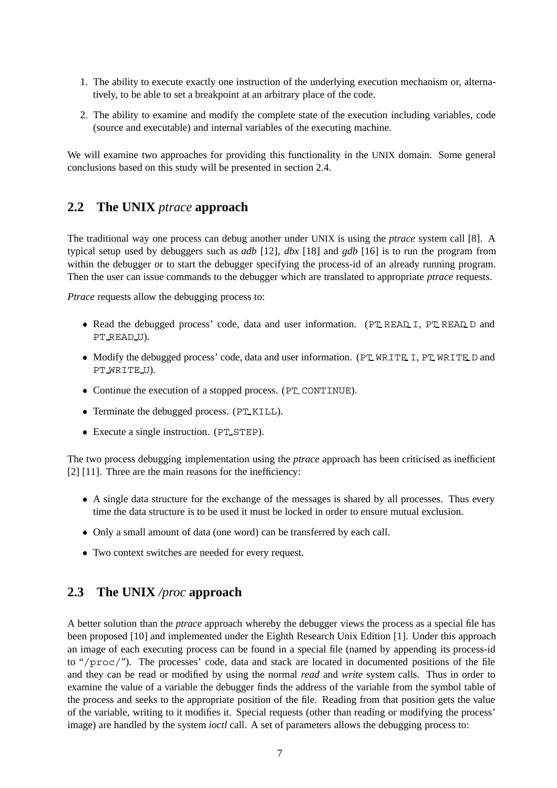- 1. The ability to execute exactly one instruction of the underlying execution mechanism or, alternatively, to be able to set a breakpoint at an arbitrary place of the code.
- 2. The ability to examine and modify the complete state of the execution including variables, code (source and executable) and internal variables of the executing machine.

We will examine two approaches for providing this functionality in the UNIX domain. Some general conclusions based on this study will be presented in section 2.4.

#### **2.2 The UNIX** *ptrace* **approach**

The traditional way one process can debug another under UNIX is using the *ptrace* system call [8]. A typical setup used by debuggers such as *adb* [12], *dbx* [18] and *gdb* [16] is to run the program from within the debugger or to start the debugger specifying the process-id of an already running program. Then the user can issue commands to the debugger which are translated to appropriate *ptrace* requests.

*Ptrace* requests allow the debugging process to:

- Read the debugged process' code, data and user information. (PT READ I, PT READ D and PT READ U).
- Modify the debugged process' code, data and user information. (PT WRITE I, PT WRITE D and PT WRITE U).
- Continue the execution of a stopped process. (PT CONTINUE).
- Terminate the debugged process. (PT KILL).
- Execute a single instruction. (PT STEP).

The two process debugging implementation using the *ptrace* approach has been criticised as inefficient [2] [11]. Three are the main reasons for the inefficiency:

- A single data structure for the exchange of the messages is shared by all processes. Thus every time the data structure is to be used it must be locked in order to ensure mutual exclusion.
- Only a small amount of data (one word) can be transferred by each call.
- Two context switches are needed for every request.

#### **2.3 The UNIX** */proc* **approach**

A better solution than the *ptrace* approach whereby the debugger views the process as a special file has been proposed [10] and implemented under the Eighth Research Unix Edition [1]. Under this approach an image of each executing process can be found in a special file (named by appending its process-id to "/proc/"). The processes' code, data and stack are located in documented positions of the file and they can be read or modified by using the normal *read* and *write* system calls. Thus in order to examine the value of a variable the debugger finds the address of the variable from the symbol table of the process and seeks to the appropriate position of the file. Reading from that position gets the value of the variable, writing to it modifies it. Special requests (other than reading or modifying the process' image) are handled by the system *ioctl* call. A set of parameters allows the debugging process to: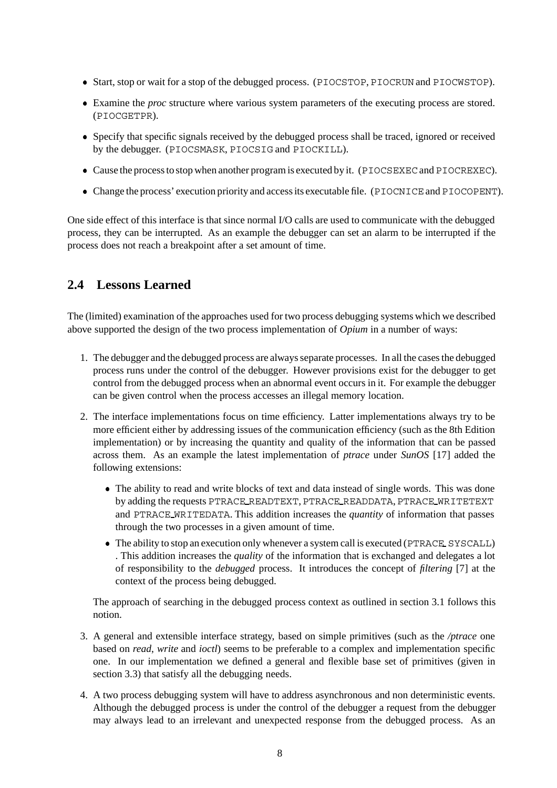- Start, stop or wait for a stop of the debugged process. (PIOCSTOP, PIOCRUN and PIOCWSTOP).
- Examine the *proc* structure where various system parameters of the executing process are stored. (PIOCGETPR).
- Specify that specific signals received by the debugged process shall be traced, ignored or received by the debugger. (PIOCSMASK, PIOCSIG and PIOCKILL).
- Cause the process to stop when another program is executed by it. (PIOCSEXEC and PIOCREXEC).
- Change the process' execution priority and access its executable file. (PIOCNICE and PIOCOPENT).

One side effect of this interface is that since normal I/O calls are used to communicate with the debugged process, they can be interrupted. As an example the debugger can set an alarm to be interrupted if the process does not reach a breakpoint after a set amount of time.

#### **2.4 Lessons Learned**

The (limited) examination of the approaches used for two process debugging systems which we described above supported the design of the two process implementation of *Opium* in a number of ways:

- 1. The debugger and the debugged process are always separate processes. In all the cases the debugged process runs under the control of the debugger. However provisions exist for the debugger to get control from the debugged process when an abnormal event occurs in it. For example the debugger can be given control when the process accesses an illegal memory location.
- 2. The interface implementations focus on time efficiency. Latter implementations always try to be more efficient either by addressing issues of the communication efficiency (such as the 8th Edition implementation) or by increasing the quantity and quality of the information that can be passed across them. As an example the latest implementation of *ptrace* under *SunOS* [17] added the following extensions:
	- The ability to read and write blocks of text and data instead of single words. This was done by adding the requests PTRACE\_READTEXT, PTRACE\_READDATA, PTRACE\_WRITETEXT and PTRACE WRITEDATA. This addition increases the *quantity* of information that passes through the two processes in a given amount of time.
	- The ability to stop an execution only whenever a system call is executed (PTRACE SYSCALL) . This addition increases the *quality* of the information that is exchanged and delegates a lot of responsibility to the *debugged* process. It introduces the concept of *filtering* [7] at the context of the process being debugged.

The approach of searching in the debugged process context as outlined in section 3.1 follows this notion.

- 3. A general and extensible interface strategy, based on simple primitives (such as the */ptrace* one based on *read*, *write* and *ioctl*) seems to be preferable to a complex and implementation specific one. In our implementation we defined a general and flexible base set of primitives (given in section 3.3) that satisfy all the debugging needs.
- 4. A two process debugging system will have to address asynchronous and non deterministic events. Although the debugged process is under the control of the debugger a request from the debugger may always lead to an irrelevant and unexpected response from the debugged process. As an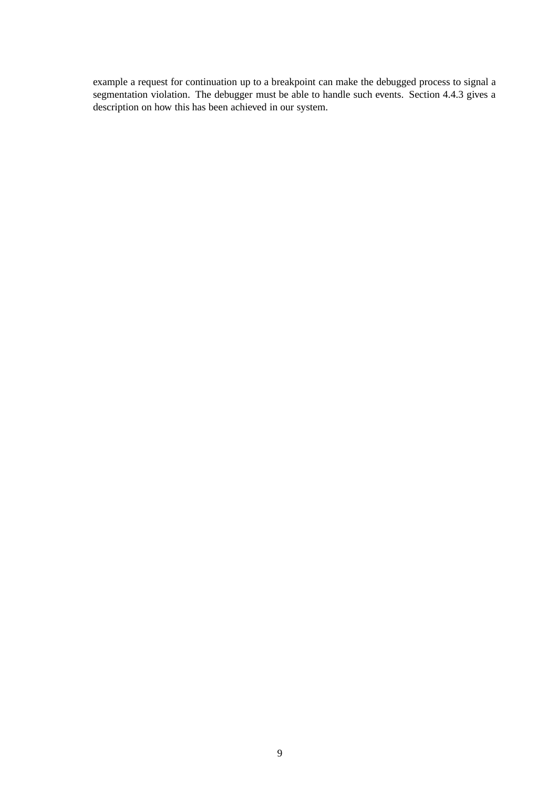example a request for continuation up to a breakpoint can make the debugged process to signal a segmentation violation. The debugger must be able to handle such events. Section 4.4.3 gives a description on how this has been achieved in our system.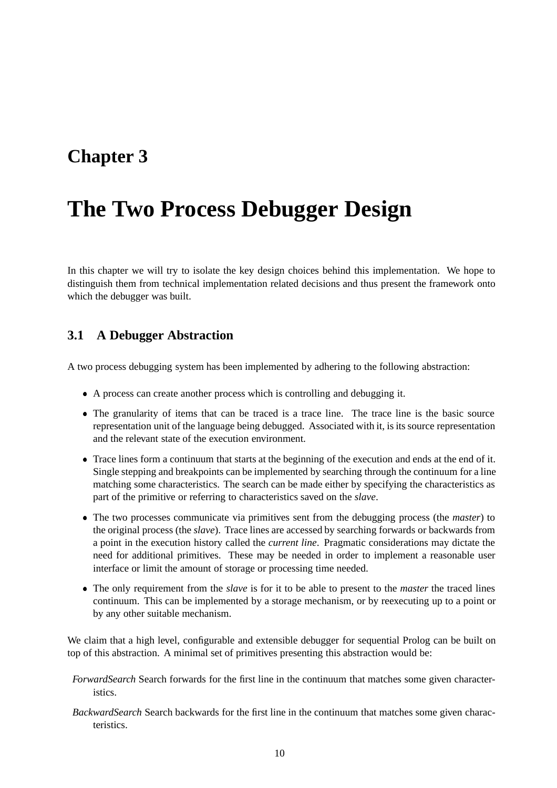## **The Two Process Debugger Design**

In this chapter we will try to isolate the key design choices behind this implementation. We hope to distinguish them from technical implementation related decisions and thus present the framework onto which the debugger was built.

#### **3.1 A Debugger Abstraction**

A two process debugging system has been implemented by adhering to the following abstraction:

- A process can create another process which is controlling and debugging it.
- The granularity of items that can be traced is a trace line. The trace line is the basic source representation unit of the language being debugged. Associated with it, is its source representation and the relevant state of the execution environment.
- Trace lines form a continuum that starts at the beginning of the execution and ends at the end of it. Single stepping and breakpoints can be implemented by searching through the continuum for a line matching some characteristics. The search can be made either by specifying the characteristics as part of the primitive or referring to characteristics saved on the *slave*.
- The two processes communicate via primitives sent from the debugging process (the *master*) to the original process (the *slave*). Trace lines are accessed by searching forwards or backwards from a point in the execution history called the *current line*. Pragmatic considerations may dictate the need for additional primitives. These may be needed in order to implement a reasonable user interface or limit the amount of storage or processing time needed.
- The only requirement from the *slave* is for it to be able to present to the *master* the traced lines continuum. This can be implemented by a storage mechanism, or by reexecuting up to a point or by any other suitable mechanism.

We claim that a high level, configurable and extensible debugger for sequential Prolog can be built on top of this abstraction. A minimal set of primitives presenting this abstraction would be:

- *ForwardSearch* Search forwards for the first line in the continuum that matches some given characteristics.
- *BackwardSearch* Search backwards for the first line in the continuum that matches some given characteristics.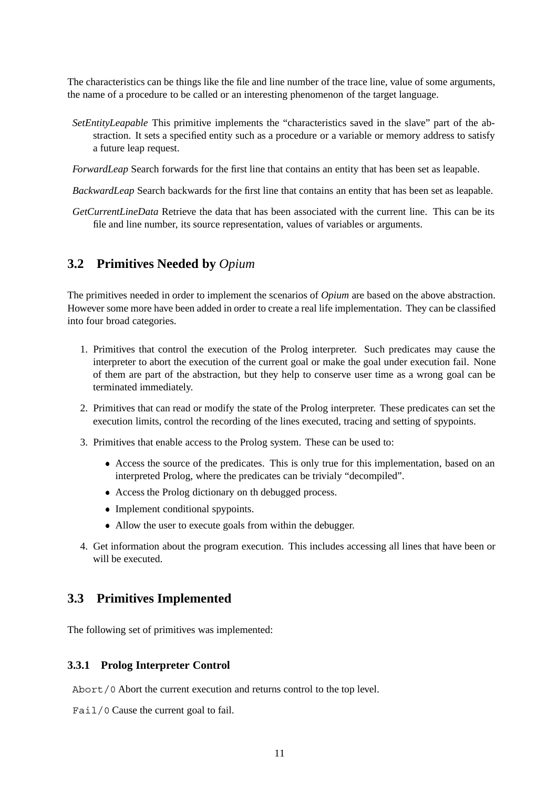The characteristics can be things like the file and line number of the trace line, value of some arguments, the name of a procedure to be called or an interesting phenomenon of the target language.

- *SetEntityLeapable* This primitive implements the "characteristics saved in the slave" part of the abstraction. It sets a specified entity such as a procedure or a variable or memory address to satisfy a future leap request.
- *ForwardLeap* Search forwards for the first line that contains an entity that has been set as leapable.
- *BackwardLeap* Search backwards for the first line that contains an entity that has been set as leapable.
- *GetCurrentLineData* Retrieve the data that has been associated with the current line. This can be its file and line number, its source representation, values of variables or arguments.

#### **3.2 Primitives Needed by** *Opium*

The primitives needed in order to implement the scenarios of *Opium* are based on the above abstraction. However some more have been added in order to create a real life implementation. They can be classified into four broad categories.

- 1. Primitives that control the execution of the Prolog interpreter. Such predicates may cause the interpreter to abort the execution of the current goal or make the goal under execution fail. None of them are part of the abstraction, but they help to conserve user time as a wrong goal can be terminated immediately.
- 2. Primitives that can read or modify the state of the Prolog interpreter. These predicates can set the execution limits, control the recording of the lines executed, tracing and setting of spypoints.
- 3. Primitives that enable access to the Prolog system. These can be used to:
	- Access the source of the predicates. This is only true for this implementation, based on an interpreted Prolog, where the predicates can be trivialy "decompiled".
	- Access the Prolog dictionary on th debugged process.
	- Implement conditional spypoints.
	- Allow the user to execute goals from within the debugger.
- 4. Get information about the program execution. This includes accessing all lines that have been or will be executed.

#### **3.3 Primitives Implemented**

The following set of primitives was implemented:

#### **3.3.1 Prolog Interpreter Control**

Abort/0 Abort the current execution and returns control to the top level.

Fail/0 Cause the current goal to fail.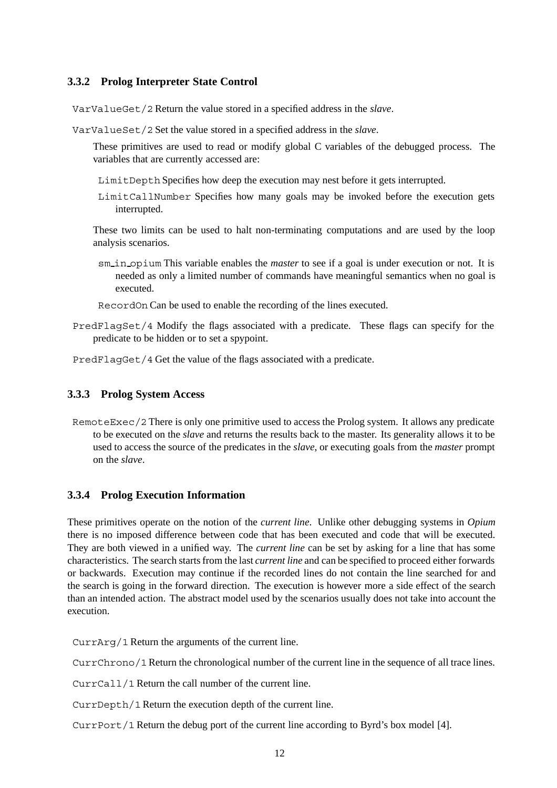#### **3.3.2 Prolog Interpreter State Control**

VarValueGet/2 Return the value stored in a specified address in the *slave*.

VarValueSet/2 Set the value stored in a specified address in the *slave*.

These primitives are used to read or modify global C variables of the debugged process. The variables that are currently accessed are:

LimitDepth Specifies how deep the execution may nest before it gets interrupted.

LimitCallNumber Specifies how many goals may be invoked before the execution gets interrupted.

These two limits can be used to halt non-terminating computations and are used by the loop analysis scenarios.

sm in opium This variable enables the *master* to see if a goal is under execution or not. It is needed as only a limited number of commands have meaningful semantics when no goal is executed.

RecordOn Can be used to enable the recording of the lines executed.

PredFlagSet/4 Modify the flags associated with a predicate. These flags can specify for the predicate to be hidden or to set a spypoint.

PredFlagGet/4 Get the value of the flags associated with a predicate.

#### **3.3.3 Prolog System Access**

RemoteExec/2There is only one primitive used to access the Prolog system. It allows any predicate to be executed on the *slave* and returns the results back to the master. Its generality allows it to be used to access the source of the predicates in the *slave*, or executing goals from the *master* prompt on the *slave*.

#### **3.3.4 Prolog Execution Information**

These primitives operate on the notion of the *current line*. Unlike other debugging systems in *Opium* there is no imposed difference between code that has been executed and code that will be executed. They are both viewed in a unified way. The *current line* can be set by asking for a line that has some characteristics. The search starts from the last *current line* and can be specified to proceed either forwards or backwards. Execution may continue if the recorded lines do not contain the line searched for and the search is going in the forward direction. The execution is however more a side effect of the search than an intended action. The abstract model used by the scenarios usually does not take into account the execution.

CurrArg/1 Return the arguments of the current line.

CurrChrono/1Return the chronological number of the current line in the sequence of all trace lines.

CurrCall/1 Return the call number of the current line.

CurrDepth/1 Return the execution depth of the current line.

CurrPort/1 Return the debug port of the current line according to Byrd's box model [4].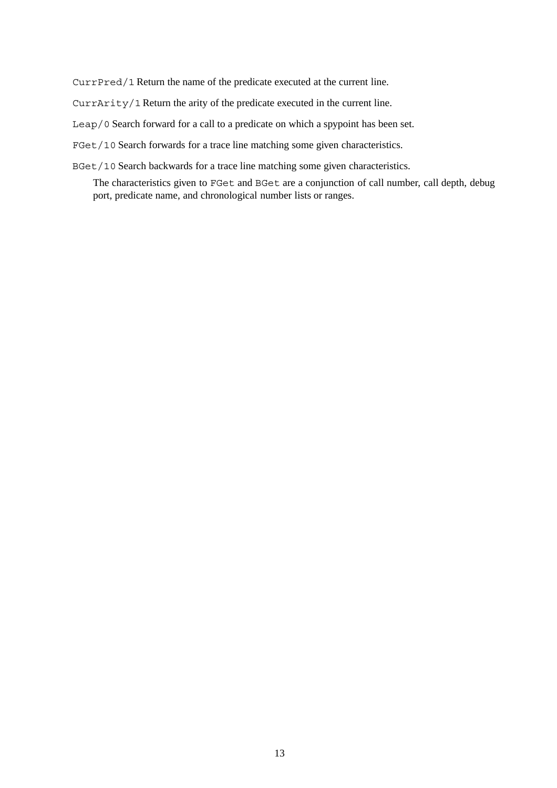CurrPred/1 Return the name of the predicate executed at the current line.

CurrArity/1 Return the arity of the predicate executed in the current line.

Leap/0 Search forward for a call to a predicate on which a spypoint has been set.

FGet/10 Search forwards for a trace line matching some given characteristics.

BGet/10 Search backwards for a trace line matching some given characteristics.

The characteristics given to FGet and BGet are a conjunction of call number, call depth, debug port, predicate name, and chronological number lists or ranges.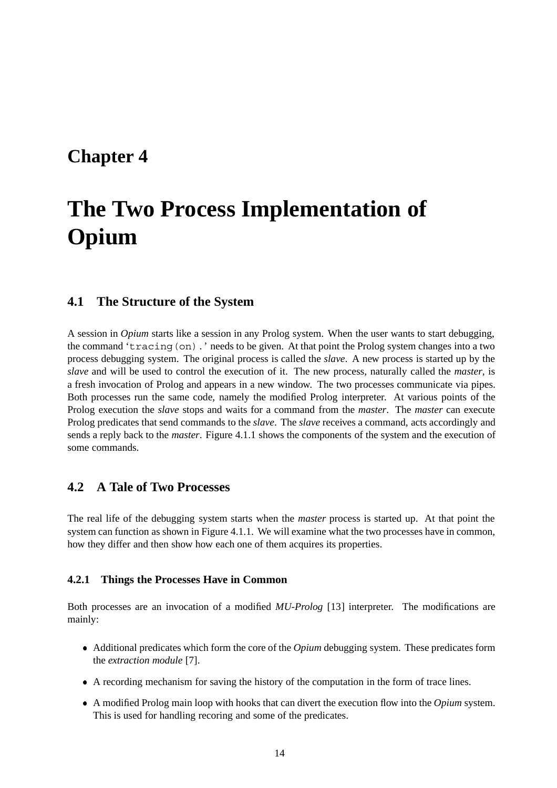## **The Two Process Implementation of Opium**

#### **4.1 The Structure of the System**

A session in *Opium* starts like a session in any Prolog system. When the user wants to start debugging, the command 'tracing(on).' needs to be given. At that point the Prolog system changes into a two process debugging system. The original process is called the *slave*. A new process is started up by the *slave* and will be used to control the execution of it. The new process, naturally called the *master*, is a fresh invocation of Prolog and appears in a new window. The two processes communicate via pipes. Both processes run the same code, namely the modified Prolog interpreter. At various points of the Prolog execution the *slave* stops and waits for a command from the *master*. The *master* can execute Prolog predicates that send commands to the *slave*. The *slave* receives a command, acts accordingly and sends a reply back to the *master*. Figure 4.1.1 shows the components of the system and the execution of some commands.

#### **4.2 A Tale of Two Processes**

The real life of the debugging system starts when the *master* process is started up. At that point the system can function as shown in Figure 4.1.1. We will examine what the two processes have in common, how they differ and then show how each one of them acquires its properties.

#### **4.2.1 Things the Processes Have in Common**

Both processes are an invocation of a modified *MU-Prolog* [13] interpreter. The modifications are mainly:

- Additional predicates which form the core of the *Opium* debugging system. These predicates form the *extraction module* [7].
- A recording mechanism for saving the history of the computation in the form of trace lines.
- A modified Prolog main loop with hooks that can divert the execution flow into the *Opium* system. This is used for handling recoring and some of the predicates.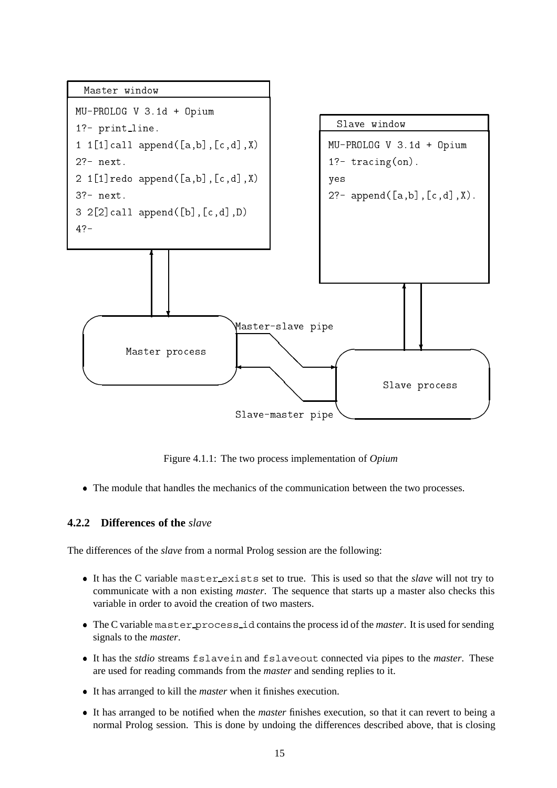

Figure 4.1.1: The two process implementation of *Opium*

The module that handles the mechanics of the communication between the two processes.

#### **4.2.2 Differences of the** *slave*

The differences of the *slave* from a normal Prolog session are the following:

- It has the C variable master exists set to true. This is used so that the *slave* will not try to communicate with a non existing *master*. The sequence that starts up a master also checks this variable in order to avoid the creation of two masters.
- The C variable master process id contains the process id of the *master*. It is used for sending signals to the *master*.
- It has the *stdio* streams fslavein and fslaveout connected via pipes to the *master*. These are used for reading commands from the *master* and sending replies to it.
- It has arranged to kill the *master* when it finishes execution.
- It has arranged to be notified when the *master* finishes execution, so that it can revert to being a normal Prolog session. This is done by undoing the differences described above, that is closing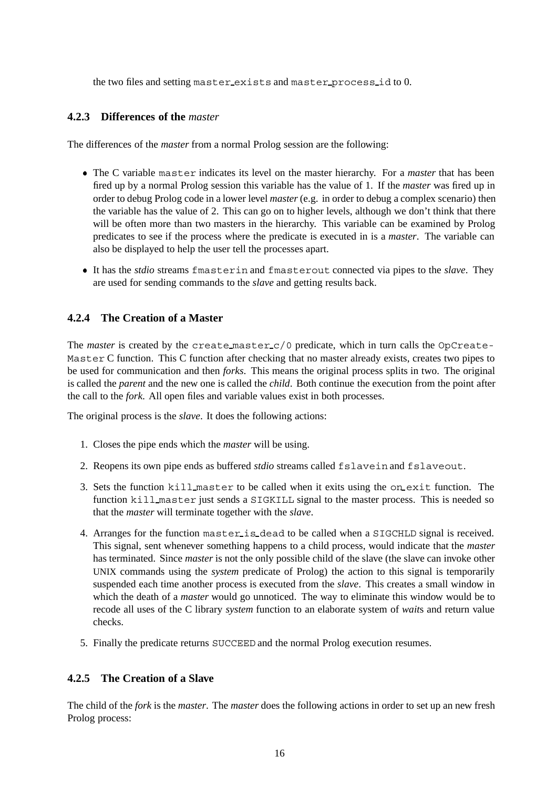the two files and setting master exists and master process id to 0.

#### **4.2.3 Differences of the** *master*

The differences of the *master* from a normal Prolog session are the following:

- The C variable master indicates its level on the master hierarchy. For a *master* that has been fired up by a normal Prolog session this variable has the value of 1. If the *master* was fired up in order to debug Prolog code in a lower level *master* (e.g. in order to debug a complex scenario) then the variable has the value of 2. This can go on to higher levels, although we don't think that there will be often more than two masters in the hierarchy. This variable can be examined by Prolog predicates to see if the process where the predicate is executed in is a *master*. The variable can also be displayed to help the user tell the processes apart.
- It has the *stdio* streams fmasterin and fmasterout connected via pipes to the *slave*. They are used for sending commands to the *slave* and getting results back.

#### **4.2.4 The Creation of a Master**

The *master* is created by the create\_master\_c/0 predicate, which in turn calls the OpCreate-Master C function. This C function after checking that no master already exists, creates two pipes to be used for communication and then *forks*. This means the original process splits in two. The original is called the *parent* and the new one is called the *child*. Both continue the execution from the point after the call to the *fork*. All open files and variable values exist in both processes.

The original process is the *slave*. It does the following actions:

- 1. Closes the pipe ends which the *master* will be using.
- 2. Reopens its own pipe ends as buffered *stdio* streams called fslavein and fslaveout.
- 3. Sets the function kill master to be called when it exits using the on exit function. The function kill master just sends a SIGKILL signal to the master process. This is needed so that the *master* will terminate together with the *slave*.
- 4. Arranges for the function master is dead to be called when a SIGCHLD signal is received. This signal, sent whenever something happens to a child process, would indicate that the *master* has terminated. Since *master* is not the only possible child of the slave (the slave can invoke other UNIX commands using the *system* predicate of Prolog) the action to this signal is temporarily suspended each time another process is executed from the *slave*. This creates a small window in which the death of a *master* would go unnoticed. The way to eliminate this window would be to recode all uses of the C library *system* function to an elaborate system of *wait*s and return value checks.
- 5. Finally the predicate returns SUCCEED and the normal Prolog execution resumes.

#### **4.2.5 The Creation of a Slave**

The child of the *fork* is the *master*. The *master* does the following actions in order to set up an new fresh Prolog process: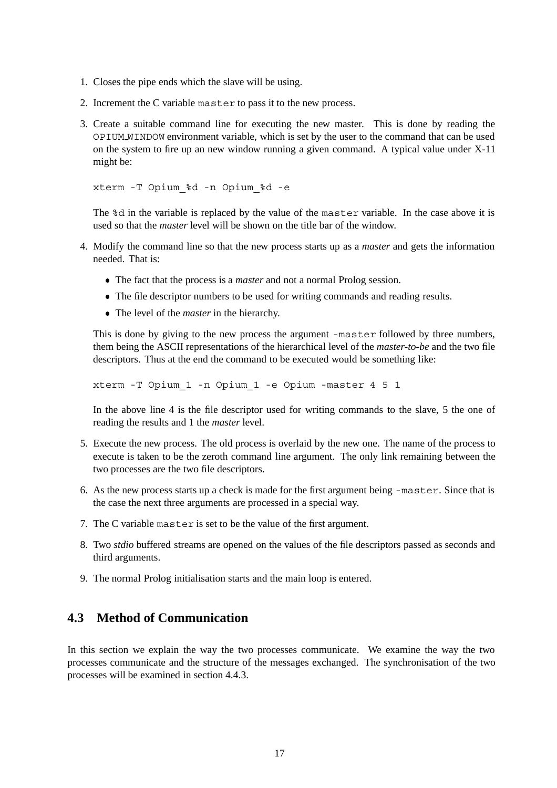- 1. Closes the pipe ends which the slave will be using.
- 2. Increment the C variable master to pass it to the new process.
- 3. Create a suitable command line for executing the new master. This is done by reading the OPIUM WINDOW environment variable, which is set by the user to the command that can be used on the system to fire up an new window running a given command. A typical value under X-11 might be:

xterm -T Opium\_%d -n Opium\_%d -e

The %d in the variable is replaced by the value of the master variable. In the case above it is used so that the *master* level will be shown on the title bar of the window.

- 4. Modify the command line so that the new process starts up as a *master* and gets the information needed. That is:
	- The fact that the process is a *master* and not a normal Prolog session.
	- The file descriptor numbers to be used for writing commands and reading results.
	- The level of the *master* in the hierarchy.

This is done by giving to the new process the argument -master followed by three numbers, them being the ASCII representations of the hierarchical level of the *master-to-be* and the two file descriptors. Thus at the end the command to be executed would be something like:

xterm -T Opium\_1 -n Opium\_1 -e Opium -master 4 5 1

In the above line 4 is the file descriptor used for writing commands to the slave, 5 the one of reading the results and 1 the *master* level.

- 5. Execute the new process. The old process is overlaid by the new one. The name of the process to execute is taken to be the zeroth command line argument. The only link remaining between the two processes are the two file descriptors.
- 6. As the new process starts up a check is made for the first argument being -master. Since that is the case the next three arguments are processed in a special way.
- 7. The C variable master is set to be the value of the first argument.
- 8. Two *stdio* buffered streams are opened on the values of the file descriptors passed as seconds and third arguments.
- 9. The normal Prolog initialisation starts and the main loop is entered.

#### **4.3 Method of Communication**

In this section we explain the way the two processes communicate. We examine the way the two processes communicate and the structure of the messages exchanged. The synchronisation of the two processes will be examined in section 4.4.3.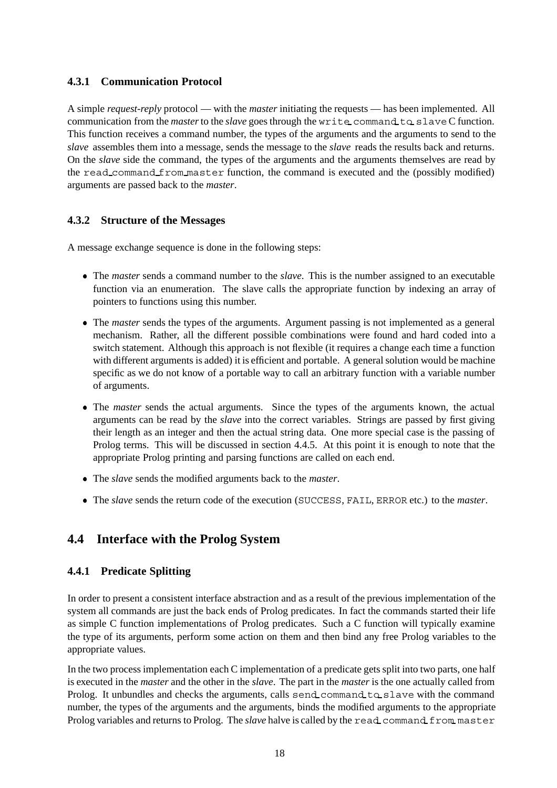#### **4.3.1 Communication Protocol**

A simple *request-reply* protocol — with the *master* initiating the requests — has been implemented. All communication from the *master* to the *slave* goes through the write command to slave C function. This function receives a command number, the types of the arguments and the arguments to send to the *slave* assembles them into a message, sends the message to the *slave* reads the results back and returns. On the *slave* side the command, the types of the arguments and the arguments themselves are read by the read command from master function, the command is executed and the (possibly modified) arguments are passed back to the *master*.

#### **4.3.2 Structure of the Messages**

A message exchange sequence is done in the following steps:

- The *master* sends a command number to the *slave*. This is the number assigned to an executable function via an enumeration. The slave calls the appropriate function by indexing an array of pointers to functions using this number.
- The *master* sends the types of the arguments. Argument passing is not implemented as a general mechanism. Rather, all the different possible combinations were found and hard coded into a switch statement. Although this approach is not flexible (it requires a change each time a function with different arguments is added) it is efficient and portable. A general solution would be machine specific as we do not know of a portable way to call an arbitrary function with a variable number of arguments.
- The *master* sends the actual arguments. Since the types of the arguments known, the actual arguments can be read by the *slave* into the correct variables. Strings are passed by first giving their length as an integer and then the actual string data. One more special case is the passing of Prolog terms. This will be discussed in section 4.4.5. At this point it is enough to note that the appropriate Prolog printing and parsing functions are called on each end.
- The *slave* sends the modified arguments back to the *master*.
- The *slave* sends the return code of the execution (SUCCESS, FAIL, ERROR etc.) to the *master*.

#### **4.4 Interface with the Prolog System**

#### **4.4.1 Predicate Splitting**

In order to present a consistent interface abstraction and as a result of the previous implementation of the system all commands are just the back ends of Prolog predicates. In fact the commands started their life as simple C function implementations of Prolog predicates. Such a C function will typically examine the type of its arguments, perform some action on them and then bind any free Prolog variables to the appropriate values.

In the two process implementation each C implementation of a predicate gets split into two parts, one half is executed in the *master* and the other in the *slave*. The part in the *master* is the one actually called from Prolog. It unbundles and checks the arguments, calls send command to slave with the command number, the types of the arguments and the arguments, binds the modified arguments to the appropriate Prolog variables and returns to Prolog. The *slave* halve is called by the read command from master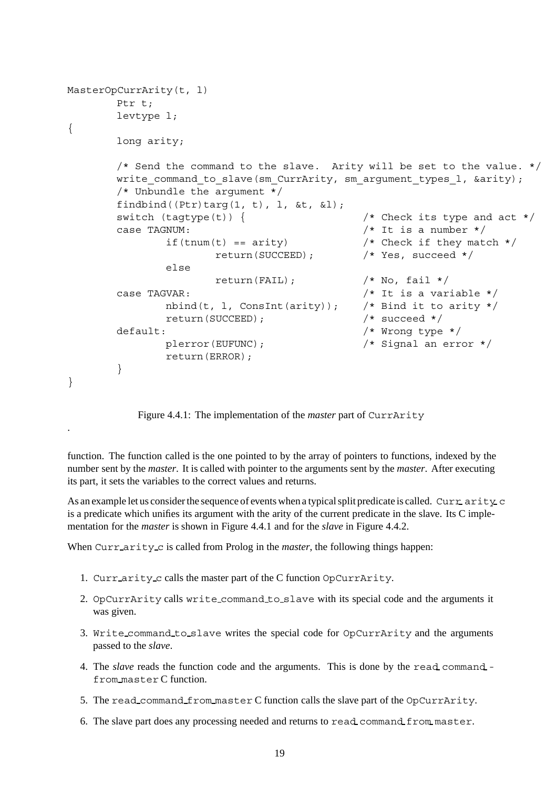```
MasterOpCurrArity(t, l)
      Ptr t;
      levtype l;
{
      long arity;
       /* Send the command to the slave. Arity will be set to the value. */
      write command to slave(sm CurrArity, sm argument types l, &arity);
       /* Unbundle the argument */
      findbind((Ptr)tarq(1, t), 1, 6t, 61);
       switch (tagtype(t)) { \qquad \qquad /* Check its type and act */
      case TAGNUM: \frac{1}{1} and \frac{1}{1} is a number \frac{*}{1}if(tnum(t) == arity) /* Check if they match */return(SUCCEED); /* Yes, succeed */
             else
                    return (FAIL); /* No, fail */case TAGVAR: /* It is a variable */
             nbind(t, 1, ConsInt(arity)); /* Bind it to arity */return(SUCCEED); /* succeed */
       default: \sqrt{*} Wrong type */plerror(EUFUNC); /* Signal an error */
             return(ERROR);
       }
}
```
Figure 4.4.1: The implementation of the *master* part of CurrArity

function. The function called is the one pointed to by the array of pointers to functions, indexed by the number sent by the *master*. It is called with pointer to the arguments sent by the *master*. After executing its part, it sets the variables to the correct values and returns.

As an example let us consider the sequence of events when a typical split predicate is called. Curr arity c is a predicate which unifies its argument with the arity of the current predicate in the slave. Its C implementation for the *master* is shown in Figure 4.4.1 and for the *slave* in Figure 4.4.2.

When Curr\_arity\_c is called from Prolog in the *master*, the following things happen:

1. Curr arity c calls the master part of the C function OpCurrArity.

.

- 2. OpCurrArity calls write\_command\_to\_slave with its special code and the arguments it was given.
- 3. Write command to slave writes the special code for OpCurrArity and the arguments passed to the *slave*.
- 4. The *slave* reads the function code and the arguments. This is done by the read command from master C function.
- 5. The read\_command\_from\_master C function calls the slave part of the OpCurrArity.
- 6. The slave part does any processing needed and returns to read command from master.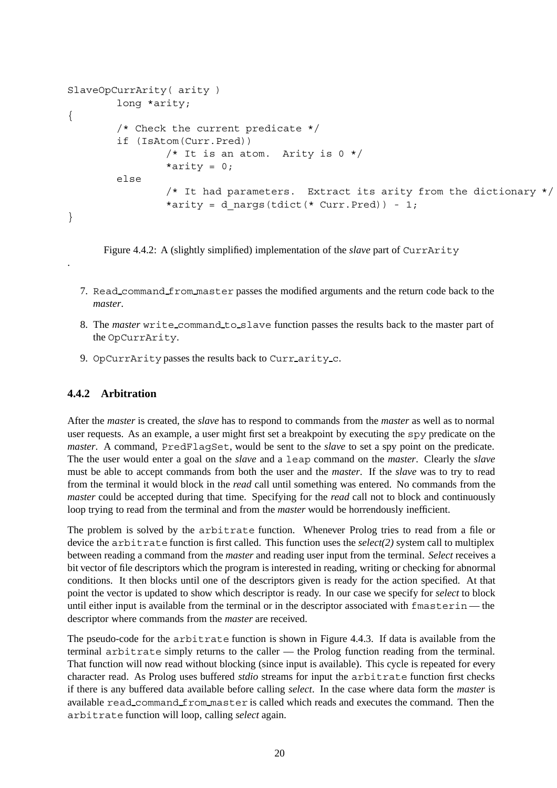```
SlaveOpCurrArity( arity )
        long *arity;
{
        /* Check the current predicate */
        if (IsAtom(Curr.Pred))
                /* It is an atom. Arity is 0 * /*arity = 0;else
                /* It had parameters. Extract its arity from the dictionary */*arity = d_nargs(tdict(* Curr.Pred)) - 1;
}
```
Figure 4.4.2: A (slightly simplified) implementation of the *slave* part of CurrArity

- 7. Read command from master passes the modified arguments and the return code back to the *master*.
- 8. The *master* write\_command\_to\_slave function passes the results back to the master part of the OpCurrArity.
- 9. OpCurrArity passes the results back to Curr\_arity\_c.

#### **4.4.2 Arbitration**

.

After the *master* is created, the *slave* has to respond to commands from the *master* as well as to normal user requests. As an example, a user might first set a breakpoint by executing the spy predicate on the *master*. A command, PredFlagSet, would be sent to the *slave* to set a spy point on the predicate. The the user would enter a goal on the *slave* and a leap command on the *master*. Clearly the *slave* must be able to accept commands from both the user and the *master*. If the *slave* was to try to read from the terminal it would block in the *read* call until something was entered. No commands from the *master* could be accepted during that time. Specifying for the *read* call not to block and continuously loop trying to read from the terminal and from the *master* would be horrendously inefficient.

The problem is solved by the arbitrate function. Whenever Prolog tries to read from a file or device the arbitrate function is first called. This function uses the *select(2)* system call to multiplex between reading a command from the *master* and reading user input from the terminal. *Select* receives a bit vector of file descriptors which the program is interested in reading, writing or checking for abnormal conditions. It then blocks until one of the descriptors given is ready for the action specified. At that point the vector is updated to show which descriptor is ready. In our case we specify for *select* to block until either input is available from the terminal or in the descriptor associated with fmasterin — the descriptor where commands from the *master* are received.

The pseudo-code for the arbitrate function is shown in Figure 4.4.3. If data is available from the terminal arbitrate simply returns to the caller — the Prolog function reading from the terminal. That function will now read without blocking (since input is available). This cycle is repeated for every character read. As Prolog uses buffered *stdio* streams for input the arbitrate function first checks if there is any buffered data available before calling *select*. In the case where data form the *master* is available read command from master is called which reads and executes the command. Then the arbitrate function will loop, calling *select* again.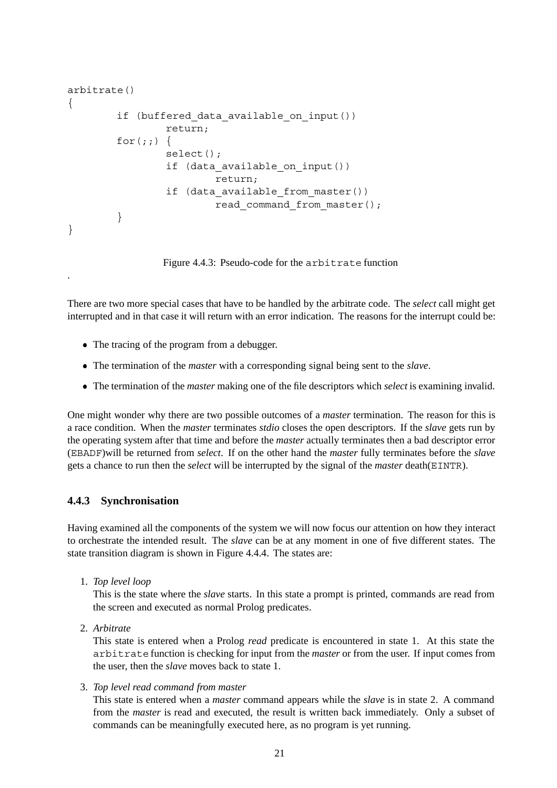```
arbitrate()
{
        if (buffered data available on input())
                return;
        for(j; ) {
                select();
                if (data_available_on_input())
                         return;
                if (data available from master())
                         read command from master();
        }
}
```
Figure 4.4.3: Pseudo-code for the arbitrate function

There are two more special cases that have to be handled by the arbitrate code. The *select* call might get interrupted and in that case it will return with an error indication. The reasons for the interrupt could be:

- The tracing of the program from a debugger.
- The termination of the *master* with a corresponding signal being sent to the *slave*.
- The termination of the *master* making one of the file descriptors which *select* is examining invalid.

One might wonder why there are two possible outcomes of a *master* termination. The reason for this is a race condition. When the *master* terminates *stdio* closes the open descriptors. If the *slave* gets run by the operating system after that time and before the *master* actually terminates then a bad descriptor error (EBADF)will be returned from *select*. If on the other hand the *master* fully terminates before the *slave* gets a chance to run then the *select* will be interrupted by the signal of the *master* death(EINTR).

#### **4.4.3 Synchronisation**

.

Having examined all the components of the system we will now focus our attention on how they interact to orchestrate the intended result. The *slave* can be at any moment in one of five different states. The state transition diagram is shown in Figure 4.4.4. The states are:

1. *Top level loop*

This is the state where the *slave* starts. In this state a prompt is printed, commands are read from the screen and executed as normal Prolog predicates.

2. *Arbitrate*

This state is entered when a Prolog *read* predicate is encountered in state 1. At this state the arbitrate function is checking for input from the *master* or from the user. If input comes from the user, then the *slave* moves back to state 1.

3. *Top level read command from master*

This state is entered when a *master* command appears while the *slave* is in state 2. A command from the *master* is read and executed, the result is written back immediately. Only a subset of commands can be meaningfully executed here, as no program is yet running.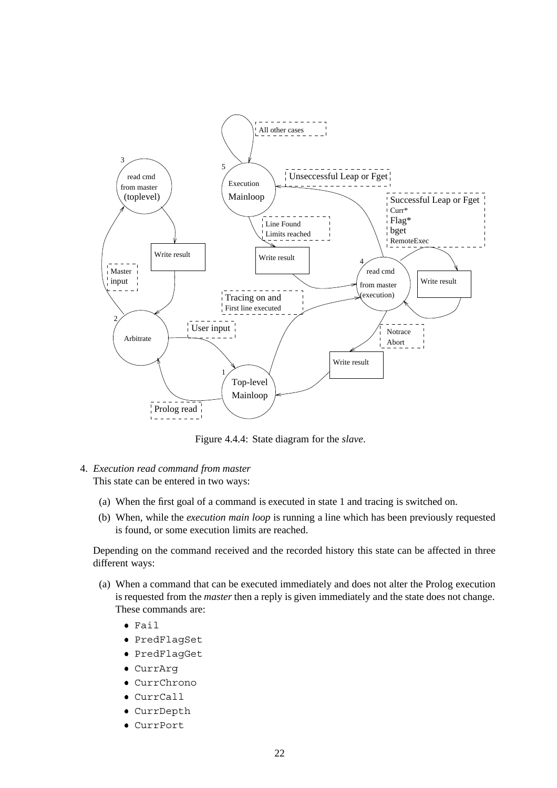

Figure 4.4.4: State diagram for the *slave*.

4. *Execution read command from master*

This state can be entered in two ways:

- (a) When the first goal of a command is executed in state 1 and tracing is switched on.
- (b) When, while the *execution main loop* is running a line which has been previously requested is found, or some execution limits are reached.

Depending on the command received and the recorded history this state can be affected in three different ways:

- (a) When a command that can be executed immediately and does not alter the Prolog execution is requested from the *master* then a reply is given immediately and the state does not change. These commands are:
	- Fail
	- PredFlagSet
	- PredFlagGet
	- CurrArg
	- CurrChrono
	- CurrCall
	- CurrDepth
	- CurrPort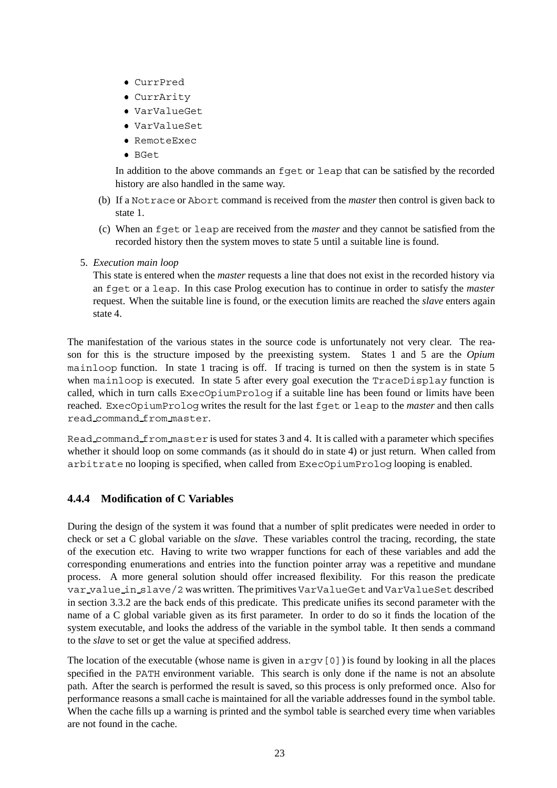- CurrPred
- CurrArity
- VarValueGet
- VarValueSet
- RemoteExec
- BGet

In addition to the above commands an fget or leap that can be satisfied by the recorded history are also handled in the same way.

- (b) If a Notrace or Abort command is received from the *master* then control is given back to state 1.
- (c) When an fget or leap are received from the *master* and they cannot be satisfied from the recorded history then the system moves to state 5 until a suitable line is found.
- 5. *Execution main loop*

This state is entered when the *master* requests a line that does not exist in the recorded history via an fget or a leap. In this case Prolog execution has to continue in order to satisfy the *master* request. When the suitable line is found, or the execution limits are reached the *slave* enters again state 4.

The manifestation of the various states in the source code is unfortunately not very clear. The reason for this is the structure imposed by the preexisting system. States 1 and 5 are the *Opium* mainloop function. In state 1 tracing is off. If tracing is turned on then the system is in state 5 when mainloop is executed. In state 5 after every goal execution the TraceDisplay function is called, which in turn calls ExecOpiumProlog if a suitable line has been found or limits have been reached. ExecOpiumProlog writes the result for the last fget or leap to the *master* and then calls read command from master.

Read command from master is used for states 3 and 4. It is called with a parameter which specifies whether it should loop on some commands (as it should do in state 4) or just return. When called from arbitrate no looping is specified, when called from ExecOpiumProlog looping is enabled.

#### **4.4.4 Modification of C Variables**

During the design of the system it was found that a number of split predicates were needed in order to check or set a C global variable on the *slave*. These variables control the tracing, recording, the state of the execution etc. Having to write two wrapper functions for each of these variables and add the corresponding enumerations and entries into the function pointer array was a repetitive and mundane process. A more general solution should offer increased flexibility. For this reason the predicate var value in slave/2 was written. The primitives VarValueGet and VarValueSet described in section 3.3.2 are the back ends of this predicate. This predicate unifies its second parameter with the name of a C global variable given as its first parameter. In order to do so it finds the location of the system executable, and looks the address of the variable in the symbol table. It then sends a command to the *slave* to set or get the value at specified address.

The location of the executable (whose name is given in  $\arg(y[0])$  is found by looking in all the places specified in the PATH environment variable. This search is only done if the name is not an absolute path. After the search is performed the result is saved, so this process is only preformed once. Also for performance reasons a small cache is maintained for all the variable addresses found in the symbol table. When the cache fills up a warning is printed and the symbol table is searched every time when variables are not found in the cache.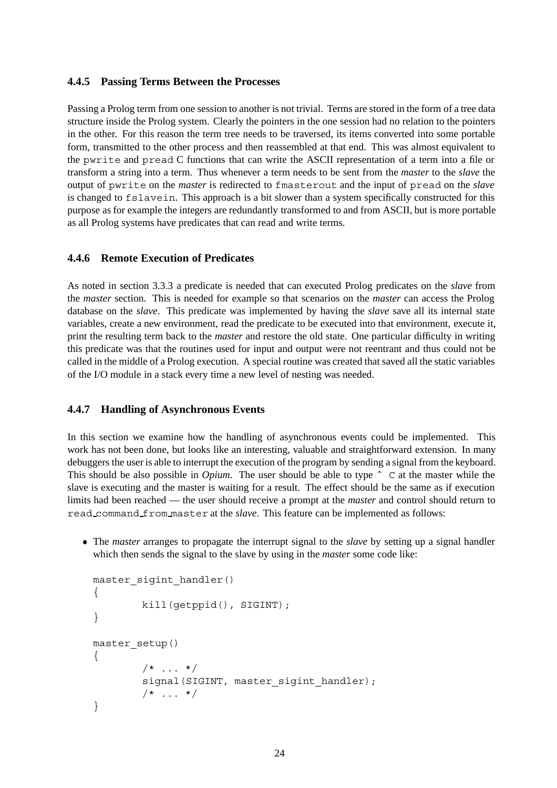#### **4.4.5 Passing Terms Between the Processes**

Passing a Prolog term from one session to another is not trivial. Terms are stored in the form of a tree data structure inside the Prolog system. Clearly the pointers in the one session had no relation to the pointers in the other. For this reason the term tree needs to be traversed, its items converted into some portable form, transmitted to the other process and then reassembled at that end. This was almost equivalent to the pwrite and pread C functions that can write the ASCII representation of a term into a file or transform a string into a term. Thus whenever a term needs to be sent from the *master* to the *slave* the output of pwrite on the *master* is redirected to fmasterout and the input of pread on the *slave* is changed to fslavein. This approach is a bit slower than a system specifically constructed for this purpose as for example the integers are redundantly transformed to and from ASCII, but is more portable as all Prolog systems have predicates that can read and write terms.

#### **4.4.6 Remote Execution of Predicates**

As noted in section 3.3.3 a predicate is needed that can executed Prolog predicates on the *slave* from the *master* section. This is needed for example so that scenarios on the *master* can access the Prolog database on the *slave*. This predicate was implemented by having the *slave* save all its internal state variables, create a new environment, read the predicate to be executed into that environment, execute it, print the resulting term back to the *master* and restore the old state. One particular difficulty in writing this predicate was that the routines used for input and output were not reentrant and thus could not be called in the middle of a Prolog execution. A special routine was created that saved all the static variables of the I/O module in a stack every time a new level of nesting was needed.

#### **4.4.7 Handling of Asynchronous Events**

In this section we examine how the handling of asynchronous events could be implemented. This work has not been done, but looks like an interesting, valuable and straightforward extension. In many debuggers the user is able to interrupt the execution of the program by sending a signal from the keyboard. This should be also possible in *Opium*. The user should be able to type  $\hat{C}$  at the master while the slave is executing and the master is waiting for a result. The effect should be the same as if execution limits had been reached — the user should receive a prompt at the *master* and control should return to read command from master at the *slave*. This feature can be implemented as follows:

 The *master* arranges to propagate the interrupt signal to the *slave* by setting up a signal handler which then sends the signal to the slave by using in the *master* some code like:

```
master_sigint_handler()
{
        kill(getppid(), SIGINT);
}
master_setup()
{
        /* \ldots */signal(SIGINT, master sigint handler);
         /* \dots */}
```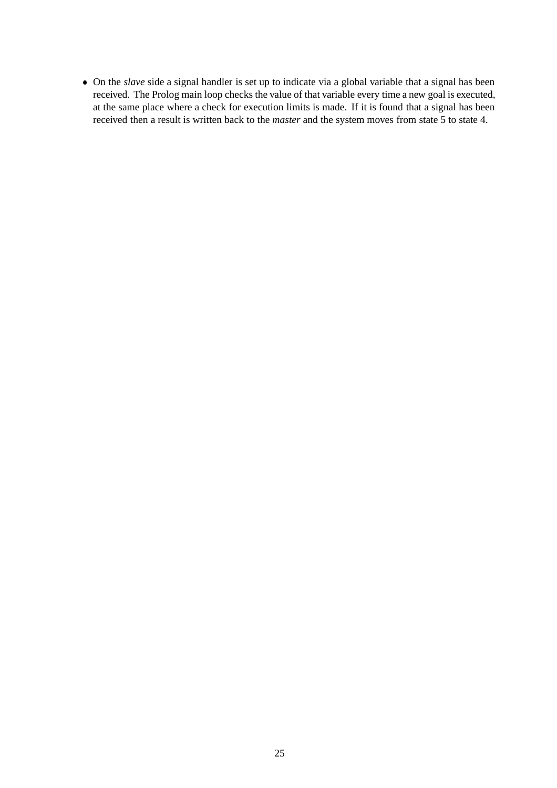On the *slave* side a signal handler is set up to indicate via a global variable that a signal has been received. The Prolog main loop checks the value of that variable every time a new goal is executed, at the same place where a check for execution limits is made. If it is found that a signal has been received then a result is written back to the *master* and the system moves from state 5 to state 4.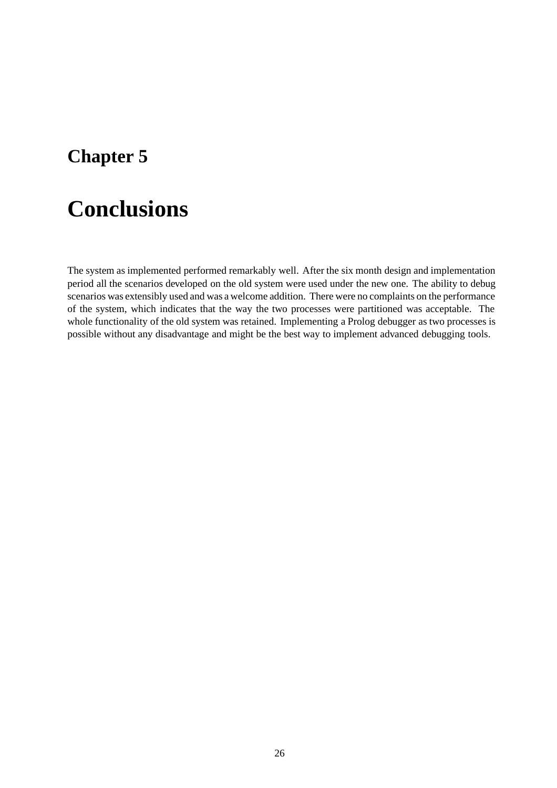## **Conclusions**

The system as implemented performed remarkably well. After the six month design and implementation period all the scenarios developed on the old system were used under the new one. The ability to debug scenarios was extensibly used and was a welcome addition. There were no complaints on the performance of the system, which indicates that the way the two processes were partitioned was acceptable. The whole functionality of the old system was retained. Implementing a Prolog debugger as two processes is possible without any disadvantage and might be the best way to implement advanced debugging tools.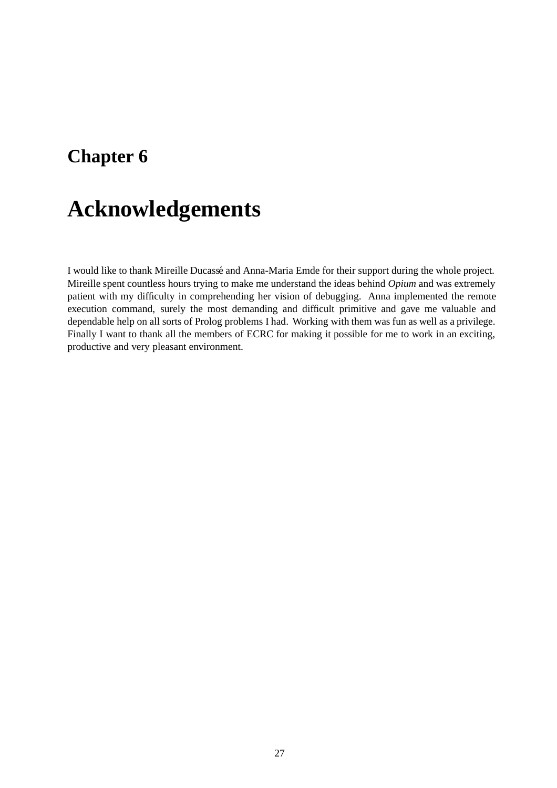## **Acknowledgements**

I would like to thank Mireille Ducassé and Anna-Maria Emde for their support during the whole project. Mireille spent countless hours trying to make me understand the ideas behind *Opium* and was extremely patient with my difficulty in comprehending her vision of debugging. Anna implemented the remote execution command, surely the most demanding and difficult primitive and gave me valuable and dependable help on all sorts of Prolog problems I had. Working with them was fun as well as a privilege. Finally I want to thank all the members of ECRC for making it possible for me to work in an exciting, productive and very pleasant environment.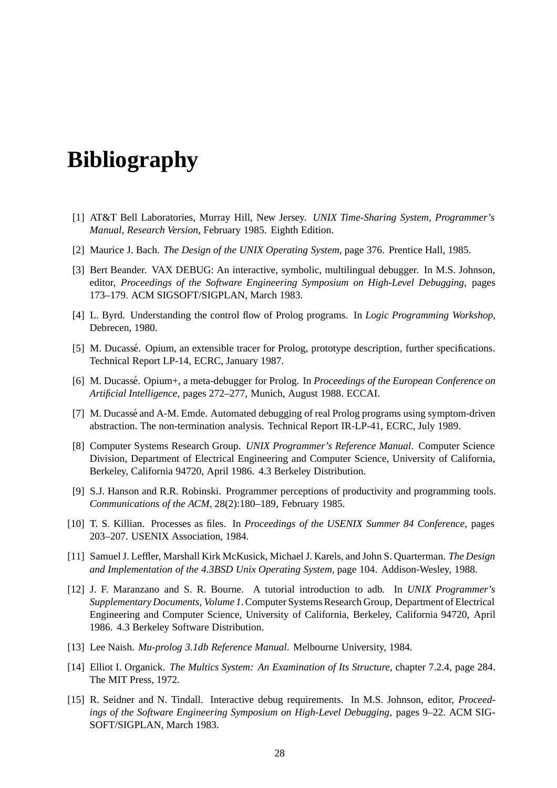## **Bibliography**

- [1] AT&T Bell Laboratories, Murray Hill, New Jersey. *UNIX Time-Sharing System, Programmer's Manual, Research Version*, February 1985. Eighth Edition.
- [2] Maurice J. Bach. *The Design of the UNIX Operating System*, page 376. Prentice Hall, 1985.
- [3] Bert Beander. VAX DEBUG: An interactive, symbolic, multilingual debugger. In M.S. Johnson, editor, *Proceedings of the Software Engineering Symposium on High-Level Debugging*, pages 173–179. ACM SIGSOFT/SIGPLAN, March 1983.
- [4] L. Byrd. Understanding the control flow of Prolog programs. In *Logic Programming Workshop*, Debrecen, 1980.
- [5] M. Ducassé. Opium, an extensible tracer for Prolog, prototype description, further specifications. Technical Report LP-14, ECRC, January 1987.
- [6] M. Ducasse. Opium+, a meta-debugger for Prolog. In ´ *Proceedings of the European Conference on Artificial Intelligence*, pages 272–277, Munich, August 1988. ECCAI.
- [7] M. Ducassé and A-M. Emde. Automated debugging of real Prolog programs using symptom-driven abstraction. The non-termination analysis. Technical Report IR-LP-41, ECRC, July 1989.
- [8] Computer Systems Research Group. *UNIX Programmer's Reference Manual*. Computer Science Division, Department of Electrical Engineering and Computer Science, University of California, Berkeley, California 94720, April 1986. 4.3 Berkeley Distribution.
- [9] S.J. Hanson and R.R. Robinski. Programmer perceptions of productivity and programming tools. *Communications of the ACM*, 28(2):180–189, February 1985.
- [10] T. S. Killian. Processes as files. In *Proceedings of the USENIX Summer 84 Conference*, pages 203–207. USENIX Association, 1984.
- [11] Samuel J. Leffler, Marshall Kirk McKusick, Michael J. Karels, and John S. Quarterman. *The Design and Implementation of the 4.3BSD Unix Operating System*, page 104. Addison-Wesley, 1988.
- [12] J. F. Maranzano and S. R. Bourne. A tutorial introduction to adb. In *UNIX Programmer's Supplementary Documents, Volume 1*. Computer Systems Research Group, Department of Electrical Engineering and Computer Science, University of California, Berkeley, California 94720, April 1986. 4.3 Berkeley Software Distribution.
- [13] Lee Naish. *Mu-prolog 3.1db Reference Manual*. Melbourne University, 1984.
- [14] Elliot I. Organick. *The Multics System: An Examination of Its Structure*, chapter 7.2.4, page 284. The MIT Press, 1972.
- [15] R. Seidner and N. Tindall. Interactive debug requirements. In M.S. Johnson, editor, *Proceedings of the Software Engineering Symposium on High-Level Debugging*, pages 9–22. ACM SIG-SOFT/SIGPLAN, March 1983.